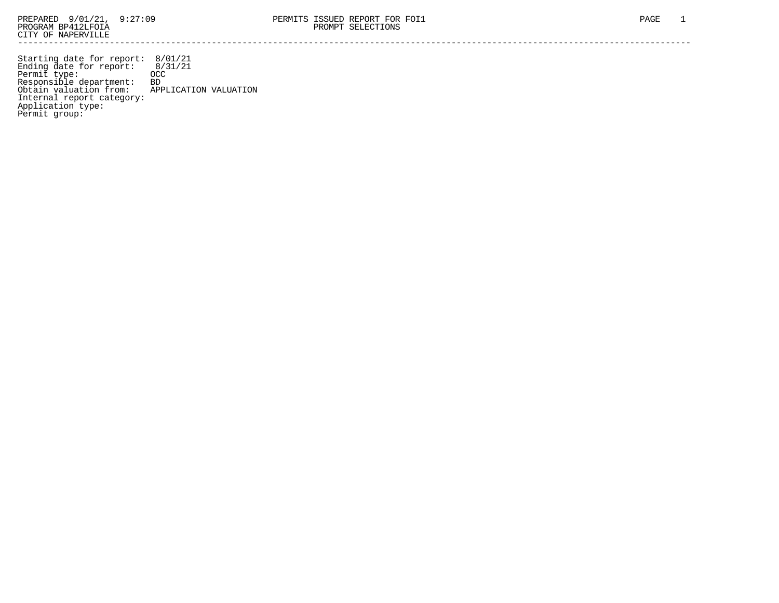Starting date for report: 8/01/21 Ending date for report: 8/31/21 Permit type: OCC Responsible department: BD Obtain valuation from: APPLICATION VALUATION Internal report category: Application type: Permit group: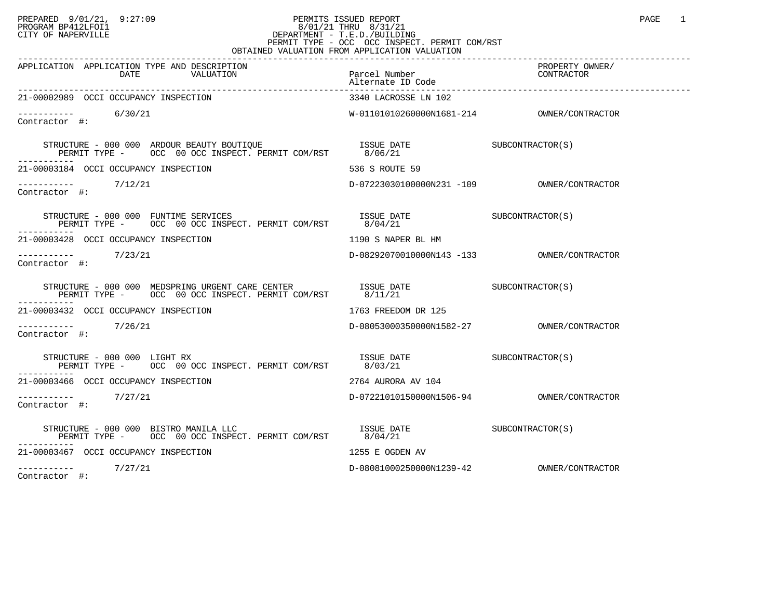## PREPARED 9/01/21, 9:27:09 PERMITS ISSUED REPORT PAGE 1 PROGRAM BP412LFOI1 8/01/21 THRU 8/31/21 CITY OF NAPERVILLE **Example 20** CITY OF NAPERVILLE PERMIT TYPE - OCC OCC INSPECT. PERMIT COM/RST OBTAINED VALUATION FROM APPLICATION VALUATION

| APPLICATION APPLICATION TYPE AND DESCRIPTION                                                                                                                                                                                                                                                                                                                                                                                                       | Parcel Number                                                                                                                                                                                                                                                                                                                                                                                               | PROPERTY OWNER/ |
|----------------------------------------------------------------------------------------------------------------------------------------------------------------------------------------------------------------------------------------------------------------------------------------------------------------------------------------------------------------------------------------------------------------------------------------------------|-------------------------------------------------------------------------------------------------------------------------------------------------------------------------------------------------------------------------------------------------------------------------------------------------------------------------------------------------------------------------------------------------------------|-----------------|
| 21-00002989 OCCI OCCUPANCY INSPECTION                                                                                                                                                                                                                                                                                                                                                                                                              | 3340 LACROSSE LN 102                                                                                                                                                                                                                                                                                                                                                                                        |                 |
| $\frac{--------}{6/30/21}$<br>Contractor #:                                                                                                                                                                                                                                                                                                                                                                                                        |                                                                                                                                                                                                                                                                                                                                                                                                             |                 |
|                                                                                                                                                                                                                                                                                                                                                                                                                                                    |                                                                                                                                                                                                                                                                                                                                                                                                             |                 |
| 21-00003184 OCCI OCCUPANCY INSPECTION                                                                                                                                                                                                                                                                                                                                                                                                              | 536 S ROUTE 59                                                                                                                                                                                                                                                                                                                                                                                              |                 |
| $--------$ 7/12/21<br>Contractor #:                                                                                                                                                                                                                                                                                                                                                                                                                |                                                                                                                                                                                                                                                                                                                                                                                                             |                 |
|                                                                                                                                                                                                                                                                                                                                                                                                                                                    | $\begin{array}{lll} \texttt{ISSUE} & \texttt{DATE} & \texttt{SUBCONTRACTOR(S)}\\ \texttt{8/04/21} & \texttt{010} & \texttt{020} & \texttt{030} \\ \texttt{030} & \texttt{040} & \texttt{030} & \texttt{040} \\ \texttt{040} & \texttt{040} & \texttt{050} & \texttt{060} & \texttt{070} \\ \texttt{060} & \texttt{070} & \texttt{080} & \texttt{080} & \texttt{080} \\ \texttt{080} & \texttt{080} & \text$ |                 |
| 21-00003428 OCCI OCCUPANCY INSPECTION                                                                                                                                                                                                                                                                                                                                                                                                              | 1190 S NAPER BL HM                                                                                                                                                                                                                                                                                                                                                                                          |                 |
| $--------$ 7/23/21<br>Contractor #:                                                                                                                                                                                                                                                                                                                                                                                                                |                                                                                                                                                                                                                                                                                                                                                                                                             |                 |
| $\begin{tabular}{lllllllll} \texttt{STRUCTURE} & $\color{red}000$ & $\color{red}000$ & $\color{red}MEDSPRING URGENT CARE CENTER & $\color{red}1SSUE$ & $\color{red}DATE$ & $\color{red}000$ & $\color{red}SUECONTRACTOR(S)$ & $\color{red}PERMIT TYPE$ & $\color{red}00$ & $\color{red}00CC$ & $100$ & $\color{red}DCC$ & $100$ & $\color{red}PERMIT COM/RST$ & $\color{red}8/11/21$ & $\color{red}8/11/21$ & $\color{red}8/11/21$ & $\color{red}$ |                                                                                                                                                                                                                                                                                                                                                                                                             |                 |
| 21-00003432 OCCI OCCUPANCY INSPECTION                                                                                                                                                                                                                                                                                                                                                                                                              | 1763 FREEDOM DR 125                                                                                                                                                                                                                                                                                                                                                                                         |                 |
| $--------$ 7/26/21<br>Contractor #:                                                                                                                                                                                                                                                                                                                                                                                                                |                                                                                                                                                                                                                                                                                                                                                                                                             |                 |
|                                                                                                                                                                                                                                                                                                                                                                                                                                                    |                                                                                                                                                                                                                                                                                                                                                                                                             |                 |
| 21-00003466 OCCI OCCUPANCY INSPECTION                                                                                                                                                                                                                                                                                                                                                                                                              | 2764 AURORA AV 104                                                                                                                                                                                                                                                                                                                                                                                          |                 |
| $\begin{tabular}{ll} --------& & 7/27/21 \\ \textbf{Contractor} & \#: & \end{tabular}$                                                                                                                                                                                                                                                                                                                                                             |                                                                                                                                                                                                                                                                                                                                                                                                             |                 |
| STRUCTURE - 000 000 BISTRO MANILA LLC<br>PERMIT TYPE - OCC 00 OCC INSPECT. PERMIT COM/RST 8/04/21                                                                                                                                                                                                                                                                                                                                                  | ISSUE DATE SUBCONTRACTOR(S)                                                                                                                                                                                                                                                                                                                                                                                 |                 |
| 21-00003467 OCCI OCCUPANCY INSPECTION                                                                                                                                                                                                                                                                                                                                                                                                              | 1255 E OGDEN AV                                                                                                                                                                                                                                                                                                                                                                                             |                 |
| $---------$ 7/27/21                                                                                                                                                                                                                                                                                                                                                                                                                                |                                                                                                                                                                                                                                                                                                                                                                                                             |                 |

Contractor #: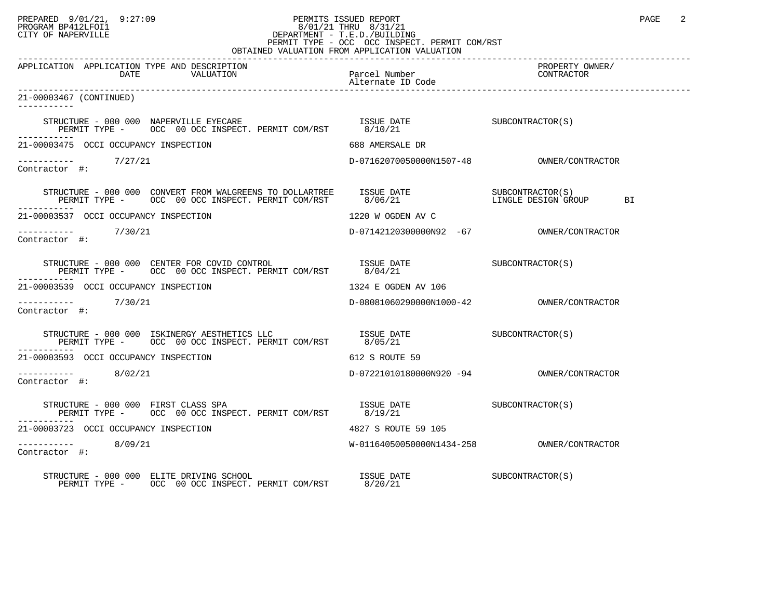## PREPARED 9/01/21, 9:27:09 PERMITS ISSUED REPORT PAGE 2 PROGRAM BP412LFOI1 8/01/21 THRU 8/31/21 CITY OF NAPERVILLE **Example 20** CITY OF NAPERVILLE PERMIT TYPE - OCC OCC INSPECT. PERMIT COM/RST

| OBTAINED VALUATION FROM APPLICATION VALUATION                                                                                                                                                                                                                                                                                                     |                                                                                                          |                               |  |  |
|---------------------------------------------------------------------------------------------------------------------------------------------------------------------------------------------------------------------------------------------------------------------------------------------------------------------------------------------------|----------------------------------------------------------------------------------------------------------|-------------------------------|--|--|
| APPLICATION APPLICATION TYPE AND DESCRIPTION<br>DATE<br>VALUATION                                                                                                                                                                                                                                                                                 | Parcel Number<br>Alternate ID Code                                                                       | PROPERTY OWNER/<br>CONTRACTOR |  |  |
| 21-00003467 (CONTINUED)<br>-----------                                                                                                                                                                                                                                                                                                            |                                                                                                          |                               |  |  |
|                                                                                                                                                                                                                                                                                                                                                   |                                                                                                          |                               |  |  |
| 21-00003475 OCCI OCCUPANCY INSPECTION                                                                                                                                                                                                                                                                                                             | 688 AMERSALE DR                                                                                          |                               |  |  |
| $\begin{tabular}{ll} --------& & 7/27/21 \\ \textbf{Contractor} & \#: & \end{tabular}$                                                                                                                                                                                                                                                            |                                                                                                          |                               |  |  |
|                                                                                                                                                                                                                                                                                                                                                   |                                                                                                          | BI                            |  |  |
| 21-00003537 OCCI OCCUPANCY INSPECTION                                                                                                                                                                                                                                                                                                             | 1220 W OGDEN AV C                                                                                        |                               |  |  |
| ---------- 7/30/21<br>Contractor #:                                                                                                                                                                                                                                                                                                               | D-07142120300000N92 -67 OWNER/CONTRACTOR                                                                 |                               |  |  |
| $\begin{tabular}{lllllllll} \texttt{STRUCTURE} & - & 000 & 000 & \texttt{CENTER} & \texttt{FOR} & \texttt{CONTROL} & \texttt{SUSUE} & \texttt{DATE} & \texttt{SUBCONTRACTOR(S)} \\ \texttt{PERMIT TYPE} & - & \texttt{OCC} & 00 & \texttt{OCC} & \texttt{INSERT} & \texttt{PERMIT} & \texttt{COM/RST} & & 8/04/21 & & & & & & & \\ \end{tabular}$ |                                                                                                          |                               |  |  |
| 21-00003539 OCCI OCCUPANCY INSPECTION                                                                                                                                                                                                                                                                                                             | 1324 E OGDEN AV 106                                                                                      |                               |  |  |
| $------ 7/30/21$<br>Contractor #:                                                                                                                                                                                                                                                                                                                 |                                                                                                          |                               |  |  |
| PERMIT TYPE - OCC 00 OCC INSPECT. PERMIT COM/RST 8/05/21                                                                                                                                                                                                                                                                                          |                                                                                                          |                               |  |  |
| 21-00003593 OCCI OCCUPANCY INSPECTION                                                                                                                                                                                                                                                                                                             | 612 S ROUTE 59                                                                                           |                               |  |  |
| $--------$ 8/02/21<br>Contractor #:                                                                                                                                                                                                                                                                                                               |                                                                                                          |                               |  |  |
| STRUCTURE - 000 000 FIRST CLASS SPA<br>PERMIT TYPE - OCC 00 OCC INSPECT. PERMIT COM/RST 8/19/21                                                                                                                                                                                                                                                   | $\begin{array}{ccc}\n & \text{ISSUB} & \text{DATE} \\  \hline\n & \text{SUBCONTRACTOR(S)}\n \end{array}$ |                               |  |  |
| 21-00003723 OCCI OCCUPANCY INSPECTION                                                                                                                                                                                                                                                                                                             | 4827 S ROUTE 59 105                                                                                      |                               |  |  |
| -----------    8/09/21<br>Contractor #:                                                                                                                                                                                                                                                                                                           |                                                                                                          |                               |  |  |
| STRUCTURE - 000 000 ELITE DRIVING SCHOOL<br>PERMIT TYPE - OCC 00 OCC INSPECT. PERMIT COM/RST 8/20/21                                                                                                                                                                                                                                              | ISSUE DATE                                                                                               | SUBCONTRACTOR(S)              |  |  |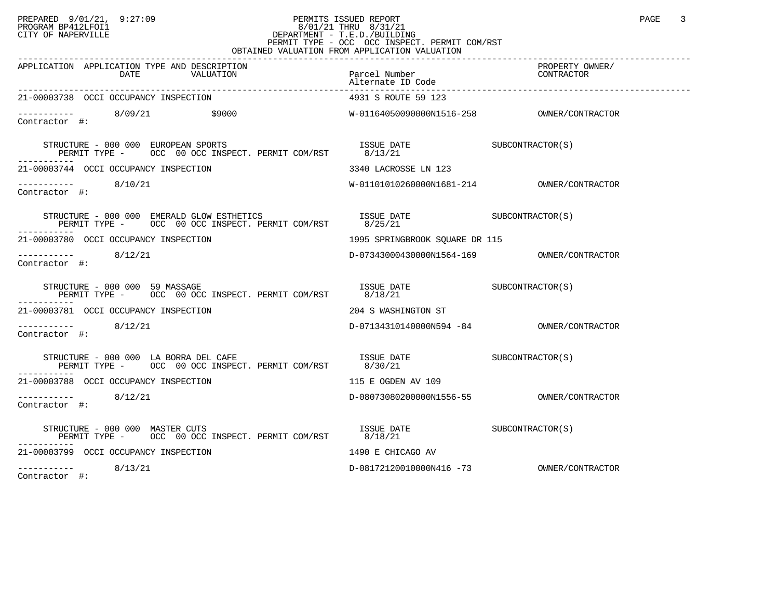## PREPARED 9/01/21, 9:27:09 PERMITS ISSUED REPORT PAGE 3 PROGRAM BP412LFOI1 8/01/21 THRU 8/31/21 CITY OF NAPERVILLE **Example 20** CITY OF NAPERVILLE CITY OF NAPERVILLE <br>
PERMIT TYPE - OCC OCC INSPECT. PERMIT COM/RST

| OBTAINED VALUATION FROM APPLICATION VALUATION                                                                                                                                                                                                                                                                    |                                        |                               |  |  |
|------------------------------------------------------------------------------------------------------------------------------------------------------------------------------------------------------------------------------------------------------------------------------------------------------------------|----------------------------------------|-------------------------------|--|--|
| APPLICATION APPLICATION TYPE AND DESCRIPTION<br>DATE VALUATION                                                                                                                                                                                                                                                   | Parcel Number<br>Alternate ID Code     | PROPERTY OWNER/<br>CONTRACTOR |  |  |
| 21-00003738 OCCI OCCUPANCY INSPECTION                                                                                                                                                                                                                                                                            | 4931 S ROUTE 59 123                    |                               |  |  |
| $--------$ 8/09/21 \$9000<br>Contractor #:                                                                                                                                                                                                                                                                       |                                        |                               |  |  |
| $\begin{tabular}{lllllll} \texttt{STRUCTURE} & - & 000 & 000 & \texttt{EUROPEAN} & \texttt{SPORTS} & \texttt{ISSUE} & \texttt{DATE} & \texttt{SUECONTRACTOR(S)} \\ \texttt{PERMIT TYPE} & - & \texttt{OCC} & 00 & \texttt{OCC} & \texttt{INSERT} & \texttt{PERMIT} & \texttt{COM/RST} & 8/13/21 & \end{tabular}$ |                                        |                               |  |  |
| 21-00003744 OCCI OCCUPANCY INSPECTION                                                                                                                                                                                                                                                                            | 3340 LACROSSE LN 123                   |                               |  |  |
| -----------    8/10/21<br>Contractor #:                                                                                                                                                                                                                                                                          |                                        |                               |  |  |
| STRUCTURE - 000 000 EMERALD GLOW ESTHETICS                                                                                                                                                                                                                                                                       |                                        |                               |  |  |
| 21-00003780 OCCI OCCUPANCY INSPECTION                                                                                                                                                                                                                                                                            | 1995 SPRINGBROOK SOUARE DR 115         |                               |  |  |
| 8/12/21<br>Contractor #:                                                                                                                                                                                                                                                                                         |                                        |                               |  |  |
| STRUCTURE - 000 000 59 MASSAGE<br>PERMIT TYPE - OCC 00 OCC INSPECT. PERMIT COM/RST                                                                                                                                                                                                                               | ISSUE DATE SUBCONTRACTOR(S)<br>8/18/21 |                               |  |  |
| 21-00003781 OCCI OCCUPANCY INSPECTION                                                                                                                                                                                                                                                                            | 204 S WASHINGTON ST                    |                               |  |  |
| 8/12/21<br>Contractor #:                                                                                                                                                                                                                                                                                         |                                        |                               |  |  |
| STRUCTURE - 000 000 LA BORRA DEL CAFE<br>PERMIT TYPE - OCC 00 OCC INSPECT. PERMIT COM/RST 8/30/21                                                                                                                                                                                                                | ISSUE DATE SUBCONTRACTOR(S)            |                               |  |  |
| 21-00003788 OCCI OCCUPANCY INSPECTION                                                                                                                                                                                                                                                                            | 115 E OGDEN AV 109                     |                               |  |  |
| 8/12/21<br>Contractor #:                                                                                                                                                                                                                                                                                         |                                        |                               |  |  |
| STRUCTURE – 000 000 MASTER CUTS<br>PERMIT TYPE – OCC 00 OCC INSPECT. PERMIT COM/RST $8/18/21$<br>STRUCTURE - 000 000 MASTER CUTS                                                                                                                                                                                 |                                        |                               |  |  |
| 21-00003799 OCCI OCCUPANCY INSPECTION                                                                                                                                                                                                                                                                            | 1490 E CHICAGO AV                      |                               |  |  |
| ----------- 8/13/21<br>Contractor #:                                                                                                                                                                                                                                                                             |                                        |                               |  |  |